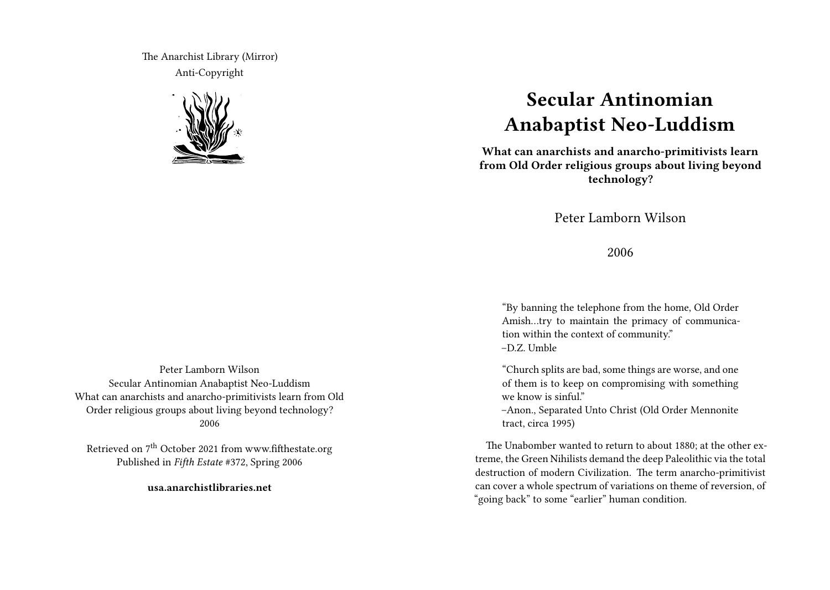The Anarchist Library (Mirror) Anti-Copyright



## **Secular Antinomian Anabaptist Neo-Luddism**

**What can anarchists and anarcho-primitivists learn from Old Order religious groups about living beyond technology?**

Peter Lamborn Wilson

2006

"By banning the telephone from the home, Old Order Amish…try to maintain the primacy of communication within the context of community." –D.Z. Umble

"Church splits are bad, some things are worse, and one of them is to keep on compromising with something we know is sinful."

–Anon., Separated Unto Christ (Old Order Mennonite tract, circa 1995)

The Unabomber wanted to return to about 1880; at the other extreme, the Green Nihilists demand the deep Paleolithic via the total destruction of modern Civilization. The term anarcho-primitivist can cover a whole spectrum of variations on theme of reversion, of "going back" to some "earlier" human condition.

Peter Lamborn Wilson Secular Antinomian Anabaptist Neo-Luddism What can anarchists and anarcho-primitivists learn from Old Order religious groups about living beyond technology? 2006

Retrieved on 7th October 2021 from www.fifthestate.org Published in *Fifth Estate* #372, Spring 2006

**usa.anarchistlibraries.net**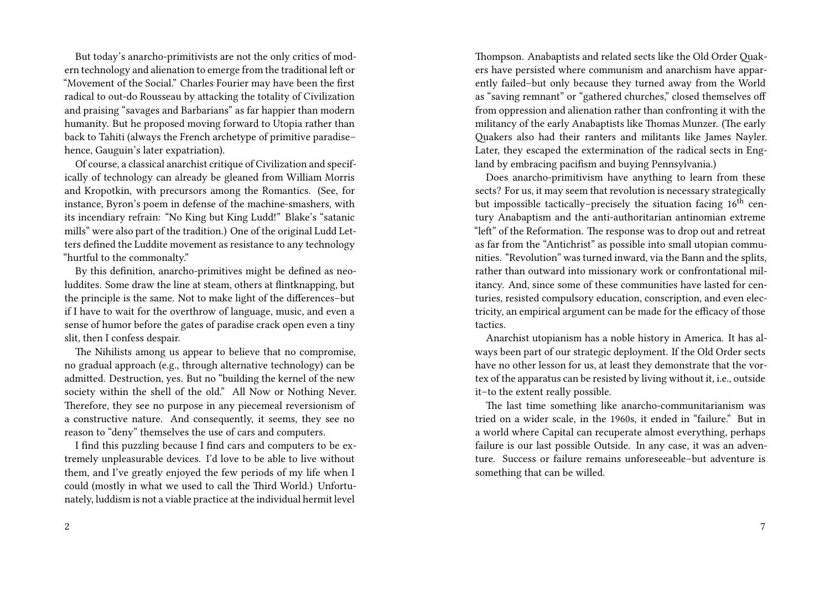But today's anarcho-primitivists are not the only critics of modern technology and alienation to emerge from the traditional left or "Movement of the Social." Charles Fourier may have been the first radical to out-do Rousseau by attacking the totality of Civilization and praising "savages and Barbarians" as far happier than modern humanity. But he proposed moving forward to Utopia rather than back to Tahiti (always the French archetype of primitive paradise– hence, Gauguin's later expatriation).

Of course, a classical anarchist critique of Civilization and specifically of technology can already be gleaned from William Morris and Kropotkin, with precursors among the Romantics. (See, for instance, Byron's poem in defense of the machine-smashers, with its incendiary refrain: "No King but King Ludd!" Blake's "satanic mills" were also part of the tradition.) One of the original Ludd Letters defined the Luddite movement as resistance to any technology "hurtful to the commonalty."

By this definition, anarcho-primitives might be defined as neoluddites. Some draw the line at steam, others at flintknapping, but the principle is the same. Not to make light of the differences–but if I have to wait for the overthrow of language, music, and even a sense of humor before the gates of paradise crack open even a tiny slit, then I confess despair.

The Nihilists among us appear to believe that no compromise, no gradual approach (e.g., through alternative technology) can be admitted. Destruction, yes. But no "building the kernel of the new society within the shell of the old." All Now or Nothing Never. Therefore, they see no purpose in any piecemeal reversionism of a constructive nature. And consequently, it seems, they see no reason to "deny" themselves the use of cars and computers.

I find this puzzling because I find cars and computers to be extremely unpleasurable devices. I'd love to be able to live without them, and I've greatly enjoyed the few periods of my life when I could (mostly in what we used to call the Third World.) Unfortunately, luddism is not a viable practice at the individual hermit level

Thompson. Anabaptists and related sects like the Old Order Quakers have persisted where communism and anarchism have apparently failed–but only because they turned away from the World as "saving remnant" or "gathered churches," closed themselves off from oppression and alienation rather than confronting it with the militancy of the early Anabaptists like Thomas Munzer. (The early Quakers also had their ranters and militants like James Nayler. Later, they escaped the extermination of the radical sects in England by embracing pacifism and buying Pennsylvania.)

Does anarcho-primitivism have anything to learn from these sects? For us, it may seem that revolution is necessary strategically but impossible tactically–precisely the situation facing  $16<sup>th</sup>$  century Anabaptism and the anti-authoritarian antinomian extreme "left" of the Reformation. The response was to drop out and retreat as far from the "Antichrist" as possible into small utopian communities. "Revolution" was turned inward, via the Bann and the splits, rather than outward into missionary work or confrontational militancy. And, since some of these communities have lasted for centuries, resisted compulsory education, conscription, and even electricity, an empirical argument can be made for the efficacy of those tactics.

Anarchist utopianism has a noble history in America. It has always been part of our strategic deployment. If the Old Order sects have no other lesson for us, at least they demonstrate that the vortex of the apparatus can be resisted by living without it, i.e., outside it–to the extent really possible.

The last time something like anarcho-communitarianism was tried on a wider scale, in the 1960s, it ended in "failure." But in a world where Capital can recuperate almost everything, perhaps failure is our last possible Outside. In any case, it was an adventure. Success or failure remains unforeseeable–but adventure is something that can be willed.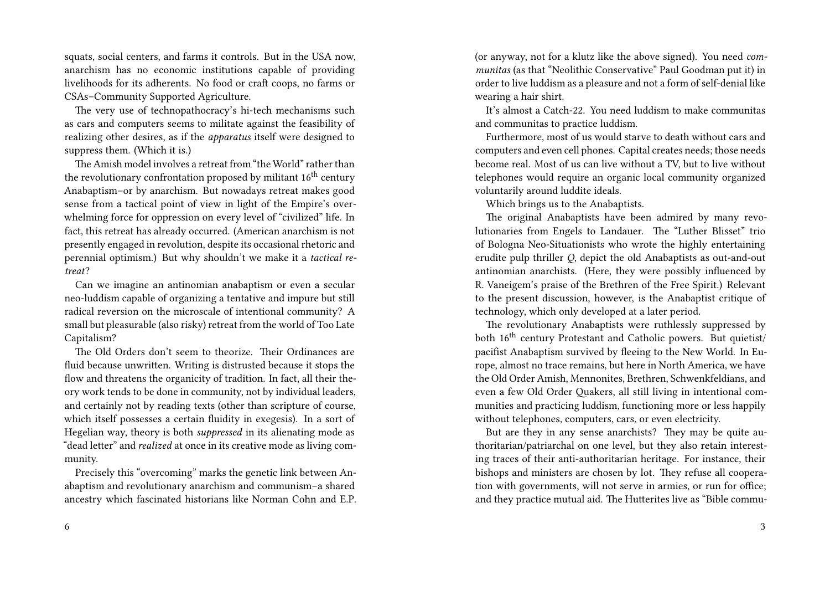squats, social centers, and farms it controls. But in the USA now, anarchism has no economic institutions capable of providing livelihoods for its adherents. No food or craft coops, no farms or CSAs–Community Supported Agriculture.

The very use of technopathocracy's hi-tech mechanisms such as cars and computers seems to militate against the feasibility of realizing other desires, as if the *apparatus* itself were designed to suppress them. (Which it is.)

The Amish model involves a retreat from "the World" rather than the revolutionary confrontation proposed by militant  $16<sup>th</sup>$  century Anabaptism–or by anarchism. But nowadays retreat makes good sense from a tactical point of view in light of the Empire's overwhelming force for oppression on every level of "civilized" life. In fact, this retreat has already occurred. (American anarchism is not presently engaged in revolution, despite its occasional rhetoric and perennial optimism.) But why shouldn't we make it a *tactical retreat*?

Can we imagine an antinomian anabaptism or even a secular neo-luddism capable of organizing a tentative and impure but still radical reversion on the microscale of intentional community? A small but pleasurable (also risky) retreat from the world of Too Late Capitalism?

The Old Orders don't seem to theorize. Their Ordinances are fluid because unwritten. Writing is distrusted because it stops the flow and threatens the organicity of tradition. In fact, all their theory work tends to be done in community, not by individual leaders, and certainly not by reading texts (other than scripture of course, which itself possesses a certain fluidity in exegesis). In a sort of Hegelian way, theory is both *suppressed* in its alienating mode as "dead letter" and *realized* at once in its creative mode as living community.

Precisely this "overcoming" marks the genetic link between Anabaptism and revolutionary anarchism and communism–a shared ancestry which fascinated historians like Norman Cohn and E.P. (or anyway, not for a klutz like the above signed). You need *communitas* (as that "Neolithic Conservative" Paul Goodman put it) in order to live luddism as a pleasure and not a form of self-denial like wearing a hair shirt.

It's almost a Catch-22. You need luddism to make communitas and communitas to practice luddism.

Furthermore, most of us would starve to death without cars and computers and even cell phones. Capital creates needs; those needs become real. Most of us can live without a TV, but to live without telephones would require an organic local community organized voluntarily around luddite ideals.

Which brings us to the Anabaptists.

The original Anabaptists have been admired by many revolutionaries from Engels to Landauer. The "Luther Blisset" trio of Bologna Neo-Situationists who wrote the highly entertaining erudite pulp thriller *Q*, depict the old Anabaptists as out-and-out antinomian anarchists. (Here, they were possibly influenced by R. Vaneigem's praise of the Brethren of the Free Spirit.) Relevant to the present discussion, however, is the Anabaptist critique of technology, which only developed at a later period.

The revolutionary Anabaptists were ruthlessly suppressed by both 16<sup>th</sup> century Protestant and Catholic powers. But quietist/ pacifist Anabaptism survived by fleeing to the New World. In Europe, almost no trace remains, but here in North America, we have the Old Order Amish, Mennonites, Brethren, Schwenkfeldians, and even a few Old Order Quakers, all still living in intentional communities and practicing luddism, functioning more or less happily without telephones, computers, cars, or even electricity.

But are they in any sense anarchists? They may be quite authoritarian/patriarchal on one level, but they also retain interesting traces of their anti-authoritarian heritage. For instance, their bishops and ministers are chosen by lot. They refuse all cooperation with governments, will not serve in armies, or run for office; and they practice mutual aid. The Hutterites live as "Bible commu